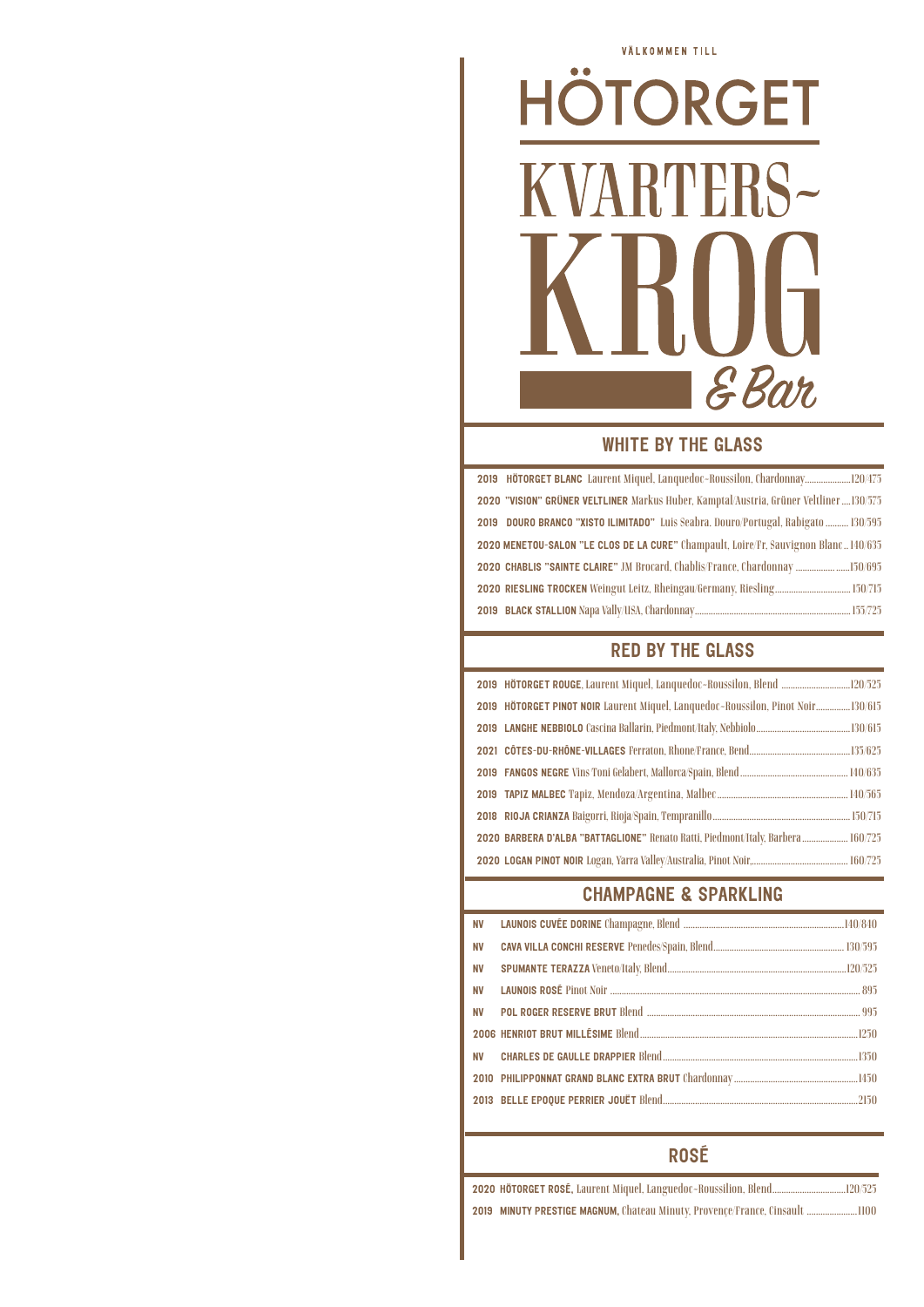# VÄLKOMMEN TILL  $\bullet$ HOTORGET ARTERS-EBar

#### WHITE BY THE GLASS

2019 HÖTORGET BLANC Laurent Miquel, Lanquedoc-Roussilon, Chardonnay....................120/475 2020 "VISION" GRÜNER VELTLINER Markus Huber, Kamptal/Austria, Grüner Veltliner....130/575 2019 DOURO BRANCO "XISTO ILIMITADO" Luis Seabra. Douro/Portugal, Rabigato .......... 130/595 2020 MENETOU-SALON "LE CLOS DE LA CURE" Champault, Loire/Fr, Sauvignon Blanc.. 140/635 2020 CHABLIS "SAINTE CLAIRE" JM Brocard, Chablis/France, Chardonnay ................. ......150/695 2020 RIESLING TROCKEN Weingut Leitz, Rheingau/Germany, Riesling................................. 150/715 2019 BLACK STALLION Napa Vally/USA, Chardonnay....................................................................155/725

## RED BY THE GLASS

| 2019 HÖTORGET ROUGE, Laurent Miquel, Languedoc~Roussilon, Blend 120/525          |  |
|----------------------------------------------------------------------------------|--|
| 2019 HÖTORGET PINOT NOIR Laurent Miquel, Languedoc-Roussilon, Pinot Noir130/615  |  |
|                                                                                  |  |
|                                                                                  |  |
|                                                                                  |  |
|                                                                                  |  |
|                                                                                  |  |
| 2020 BARBERA D'ALBA "BATTAGLIONE" Renato Ratti, Piedmont/Italy, Barbera  160/725 |  |
|                                                                                  |  |

# CHAMPAGNE & SPARKLING

### ROSÉ

2020 HÖTORGET ROSÉ, Laurent Miquel, Languedoc-Roussilion, Blend................................120/525 2019 MINUTY PRESTIGE MAGNUM, Chateau Minuty, Provençe/France, Cinsault ......................1100